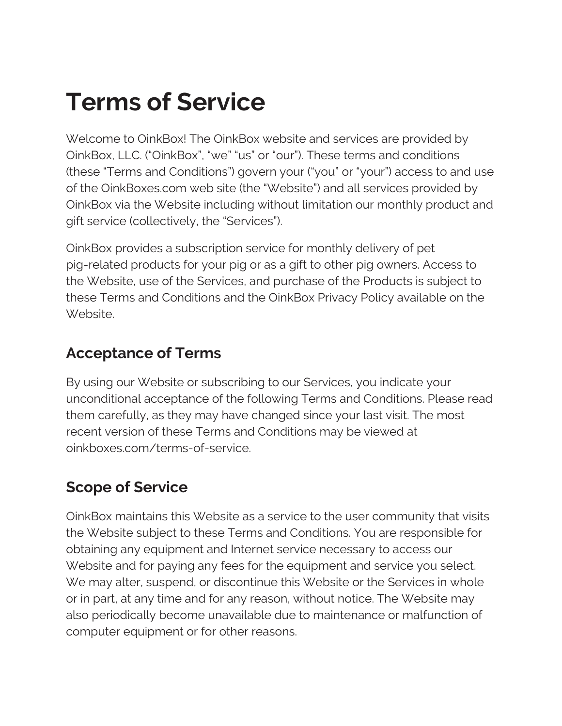# **Terms of Service**

Welcome to OinkBox! The OinkBox website and services are provided by OinkBox, LLC. ("OinkBox", "we" "us" or "our"). These terms and conditions (these "Terms and Conditions") govern your ("you" or "your") access to and use of the OinkBoxes.com web site (the "Website") and all services provided by OinkBox via the Website including without limitation our monthly product and gift service (collectively, the "Services").

OinkBox provides a subscription service for monthly delivery of pet pig-related products for your pig or as a gift to other pig owners. Access to the Website, use of the Services, and purchase of the Products is subject to these Terms and Conditions and the OinkBox Privacy Policy available on the Website.

#### **Acceptance of Terms**

By using our Website or subscribing to our Services, you indicate your unconditional acceptance of the following Terms and Conditions. Please read them carefully, as they may have changed since your last visit. The most recent version of these Terms and Conditions may be viewed at oinkboxes.com/terms-of-service.

# **Scope of Service**

OinkBox maintains this Website as a service to the user community that visits the Website subject to these Terms and Conditions. You are responsible for obtaining any equipment and Internet service necessary to access our Website and for paying any fees for the equipment and service you select. We may alter, suspend, or discontinue this Website or the Services in whole or in part, at any time and for any reason, without notice. The Website may also periodically become unavailable due to maintenance or malfunction of computer equipment or for other reasons.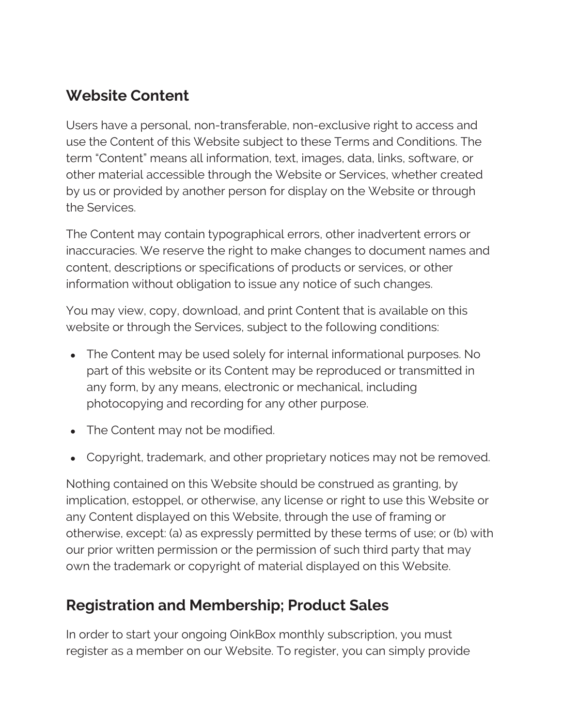## **Website Content**

Users have a personal, non-transferable, non-exclusive right to access and use the Content of this Website subject to these Terms and Conditions. The term "Content" means all information, text, images, data, links, software, or other material accessible through the Website or Services, whether created by us or provided by another person for display on the Website or through the Services.

The Content may contain typographical errors, other inadvertent errors or inaccuracies. We reserve the right to make changes to document names and content, descriptions or specifications of products or services, or other information without obligation to issue any notice of such changes.

You may view, copy, download, and print Content that is available on this website or through the Services, subject to the following conditions:

- The Content may be used solely for internal informational purposes. No part of this website or its Content may be reproduced or transmitted in any form, by any means, electronic or mechanical, including photocopying and recording for any other purpose.
- The Content may not be modified.
- Copyright, trademark, and other proprietary notices may not be removed.

Nothing contained on this Website should be construed as granting, by implication, estoppel, or otherwise, any license or right to use this Website or any Content displayed on this Website, through the use of framing or otherwise, except: (a) as expressly permitted by these terms of use; or (b) with our prior written permission or the permission of such third party that may own the trademark or copyright of material displayed on this Website.

#### **Registration and Membership; Product Sales**

In order to start your ongoing OinkBox monthly subscription, you must register as a member on our Website. To register, you can simply provide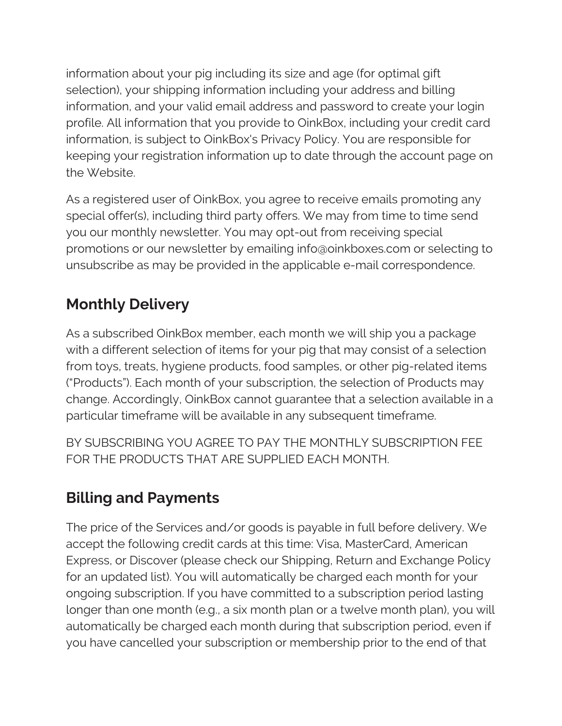information about your pig including its size and age (for optimal gift selection), your shipping information including your address and billing information, and your valid email address and password to create your login profile. All information that you provide to OinkBox, including your credit card information, is subject to OinkBox's Privacy Policy. You are responsible for keeping your registration information up to date through the account page on the Website.

As a registered user of OinkBox, you agree to receive emails promoting any special offer(s), including third party offers. We may from time to time send you our monthly newsletter. You may opt-out from receiving special promotions or our newsletter by emailing info@oinkboxes.com or selecting to unsubscribe as may be provided in the applicable e-mail correspondence.

# **Monthly Delivery**

As a subscribed OinkBox member, each month we will ship you a package with a different selection of items for your pig that may consist of a selection from toys, treats, hygiene products, food samples, or other pig-related items ("Products"). Each month of your subscription, the selection of Products may change. Accordingly, OinkBox cannot guarantee that a selection available in a particular timeframe will be available in any subsequent timeframe.

BY SUBSCRIBING YOU AGREE TO PAY THE MONTHLY SUBSCRIPTION FEE FOR THE PRODUCTS THAT ARE SUPPLIED EACH MONTH.

# **Billing and Payments**

The price of the Services and/or goods is payable in full before delivery. We accept the following credit cards at this time: Visa, MasterCard, American Express, or Discover (please check our Shipping, Return and Exchange Policy for an updated list). You will automatically be charged each month for your ongoing subscription. If you have committed to a subscription period lasting longer than one month (e.g., a six month plan or a twelve month plan), you will automatically be charged each month during that subscription period, even if you have cancelled your subscription or membership prior to the end of that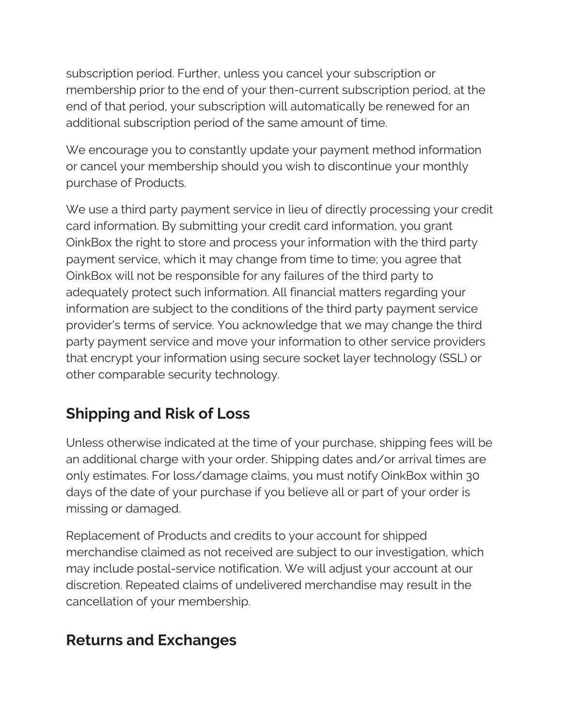subscription period. Further, unless you cancel your subscription or membership prior to the end of your then-current subscription period, at the end of that period, your subscription will automatically be renewed for an additional subscription period of the same amount of time.

We encourage you to constantly update your payment method information or cancel your membership should you wish to discontinue your monthly purchase of Products.

We use a third party payment service in lieu of directly processing your credit card information. By submitting your credit card information, you grant OinkBox the right to store and process your information with the third party payment service, which it may change from time to time; you agree that OinkBox will not be responsible for any failures of the third party to adequately protect such information. All financial matters regarding your information are subject to the conditions of the third party payment service provider's terms of service. You acknowledge that we may change the third party payment service and move your information to other service providers that encrypt your information using secure socket layer technology (SSL) or other comparable security technology.

# **Shipping and Risk of Loss**

Unless otherwise indicated at the time of your purchase, shipping fees will be an additional charge with your order. Shipping dates and/or arrival times are only estimates. For loss/damage claims, you must notify OinkBox within 30 days of the date of your purchase if you believe all or part of your order is missing or damaged.

Replacement of Products and credits to your account for shipped merchandise claimed as not received are subject to our investigation, which may include postal-service notification. We will adjust your account at our discretion. Repeated claims of undelivered merchandise may result in the cancellation of your membership.

# **Returns and Exchanges**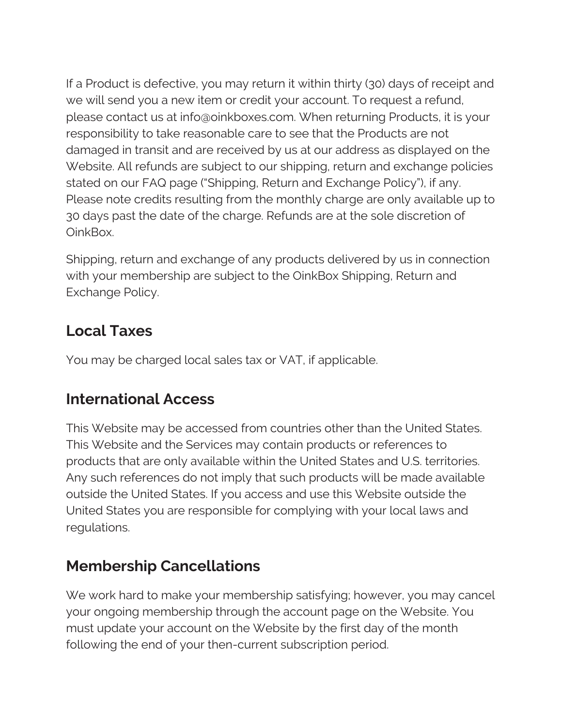If a Product is defective, you may return it within thirty (30) days of receipt and we will send you a new item or credit your account. To request a refund, please contact us at info@oinkboxes.com. When returning Products, it is your responsibility to take reasonable care to see that the Products are not damaged in transit and are received by us at our address as displayed on the Website. All refunds are subject to our shipping, return and exchange policies stated on our FAQ page ("Shipping, Return and Exchange Policy"), if any. Please note credits resulting from the monthly charge are only available up to 30 days past the date of the charge. Refunds are at the sole discretion of OinkBox.

Shipping, return and exchange of any products delivered by us in connection with your membership are subject to the OinkBox Shipping, Return and Exchange Policy.

# **Local Taxes**

You may be charged local sales tax or VAT, if applicable.

# **International Access**

This Website may be accessed from countries other than the United States. This Website and the Services may contain products or references to products that are only available within the United States and U.S. territories. Any such references do not imply that such products will be made available outside the United States. If you access and use this Website outside the United States you are responsible for complying with your local laws and regulations.

# **Membership Cancellations**

We work hard to make your membership satisfying; however, you may cancel your ongoing membership through the account page on the Website. You must update your account on the Website by the first day of the month following the end of your then-current subscription period.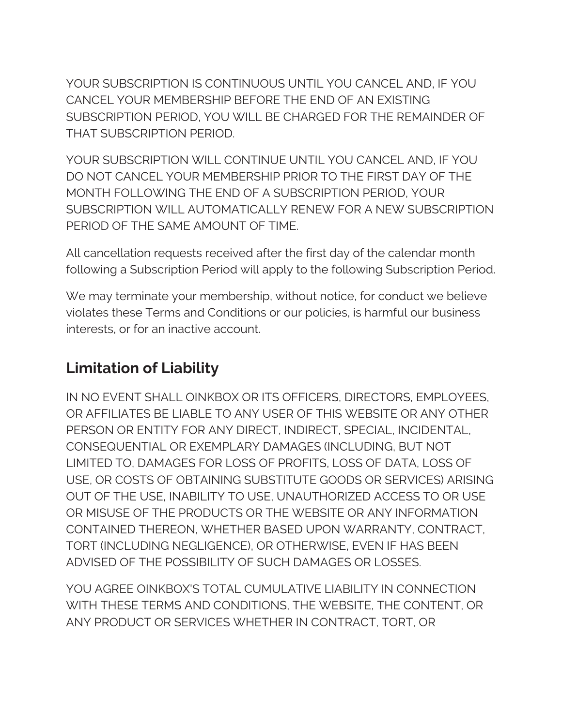YOUR SUBSCRIPTION IS CONTINUOUS UNTIL YOU CANCEL AND, IF YOU CANCEL YOUR MEMBERSHIP BEFORE THE END OF AN EXISTING SUBSCRIPTION PERIOD, YOU WILL BE CHARGED FOR THE REMAINDER OF THAT SUBSCRIPTION PERIOD.

YOUR SUBSCRIPTION WILL CONTINUE UNTIL YOU CANCEL AND, IF YOU DO NOT CANCEL YOUR MEMBERSHIP PRIOR TO THE FIRST DAY OF THE MONTH FOLLOWING THE END OF A SUBSCRIPTION PERIOD, YOUR SUBSCRIPTION WILL AUTOMATICALLY RENEW FOR A NEW SUBSCRIPTION PERIOD OF THE SAME AMOUNT OF TIME.

All cancellation requests received after the first day of the calendar month following a Subscription Period will apply to the following Subscription Period.

We may terminate your membership, without notice, for conduct we believe violates these Terms and Conditions or our policies, is harmful our business interests, or for an inactive account.

# **Limitation of Liability**

IN NO EVENT SHALL OINKBOX OR ITS OFFICERS, DIRECTORS, EMPLOYEES, OR AFFILIATES BE LIABLE TO ANY USER OF THIS WEBSITE OR ANY OTHER PERSON OR ENTITY FOR ANY DIRECT, INDIRECT, SPECIAL, INCIDENTAL, CONSEQUENTIAL OR EXEMPLARY DAMAGES (INCLUDING, BUT NOT LIMITED TO, DAMAGES FOR LOSS OF PROFITS, LOSS OF DATA, LOSS OF USE, OR COSTS OF OBTAINING SUBSTITUTE GOODS OR SERVICES) ARISING OUT OF THE USE, INABILITY TO USE, UNAUTHORIZED ACCESS TO OR USE OR MISUSE OF THE PRODUCTS OR THE WEBSITE OR ANY INFORMATION CONTAINED THEREON, WHETHER BASED UPON WARRANTY, CONTRACT, TORT (INCLUDING NEGLIGENCE), OR OTHERWISE, EVEN IF HAS BEEN ADVISED OF THE POSSIBILITY OF SUCH DAMAGES OR LOSSES.

YOU AGREE OINKBOX'S TOTAL CUMULATIVE LIABILITY IN CONNECTION WITH THESE TERMS AND CONDITIONS, THE WEBSITE, THE CONTENT, OR ANY PRODUCT OR SERVICES WHETHER IN CONTRACT, TORT, OR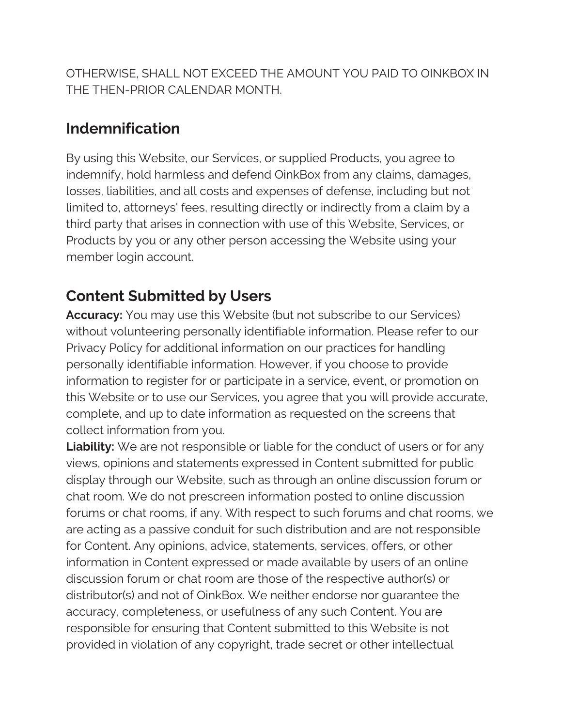OTHERWISE, SHALL NOT EXCEED THE AMOUNT YOU PAID TO OINKBOX IN THE THEN-PRIOR CALENDAR MONTH.

## **Indemnification**

By using this Website, our Services, or supplied Products, you agree to indemnify, hold harmless and defend OinkBox from any claims, damages, losses, liabilities, and all costs and expenses of defense, including but not limited to, attorneys' fees, resulting directly or indirectly from a claim by a third party that arises in connection with use of this Website, Services, or Products by you or any other person accessing the Website using your member login account.

# **Content Submitted by Users**

**Accuracy:** You may use this Website (but not subscribe to our Services) without volunteering personally identifiable information. Please refer to our Privacy Policy for additional information on our practices for handling personally identifiable information. However, if you choose to provide information to register for or participate in a service, event, or promotion on this Website or to use our Services, you agree that you will provide accurate, complete, and up to date information as requested on the screens that collect information from you.

**Liability:** We are not responsible or liable for the conduct of users or for any views, opinions and statements expressed in Content submitted for public display through our Website, such as through an online discussion forum or chat room. We do not prescreen information posted to online discussion forums or chat rooms, if any. With respect to such forums and chat rooms, we are acting as a passive conduit for such distribution and are not responsible for Content. Any opinions, advice, statements, services, offers, or other information in Content expressed or made available by users of an online discussion forum or chat room are those of the respective author(s) or distributor(s) and not of OinkBox. We neither endorse nor guarantee the accuracy, completeness, or usefulness of any such Content. You are responsible for ensuring that Content submitted to this Website is not provided in violation of any copyright, trade secret or other intellectual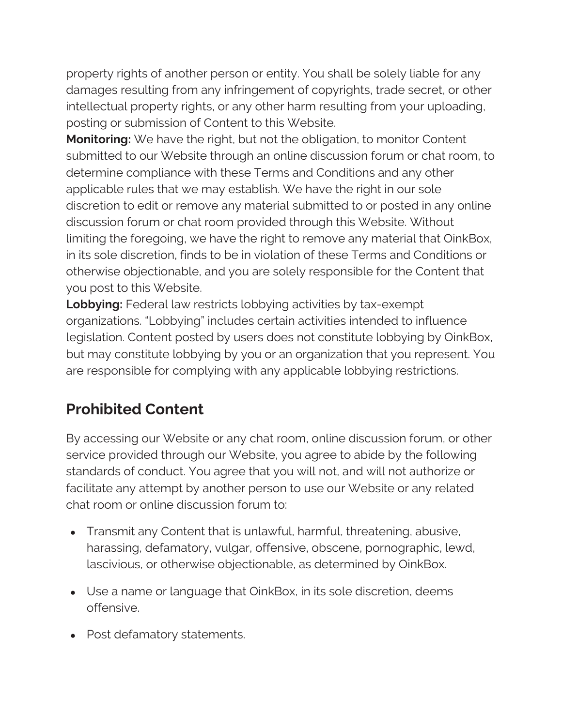property rights of another person or entity. You shall be solely liable for any damages resulting from any infringement of copyrights, trade secret, or other intellectual property rights, or any other harm resulting from your uploading, posting or submission of Content to this Website.

**Monitoring:** We have the right, but not the obligation, to monitor Content submitted to our Website through an online discussion forum or chat room, to determine compliance with these Terms and Conditions and any other applicable rules that we may establish. We have the right in our sole discretion to edit or remove any material submitted to or posted in any online discussion forum or chat room provided through this Website. Without limiting the foregoing, we have the right to remove any material that OinkBox, in its sole discretion, finds to be in violation of these Terms and Conditions or otherwise objectionable, and you are solely responsible for the Content that you post to this Website.

**Lobbying:** Federal law restricts lobbying activities by tax-exempt organizations. "Lobbying" includes certain activities intended to influence legislation. Content posted by users does not constitute lobbying by OinkBox, but may constitute lobbying by you or an organization that you represent. You are responsible for complying with any applicable lobbying restrictions.

#### **Prohibited Content**

By accessing our Website or any chat room, online discussion forum, or other service provided through our Website, you agree to abide by the following standards of conduct. You agree that you will not, and will not authorize or facilitate any attempt by another person to use our Website or any related chat room or online discussion forum to:

- Transmit any Content that is unlawful, harmful, threatening, abusive, harassing, defamatory, vulgar, offensive, obscene, pornographic, lewd, lascivious, or otherwise objectionable, as determined by OinkBox.
- Use a name or language that OinkBox, in its sole discretion, deems offensive.
- Post defamatory statements.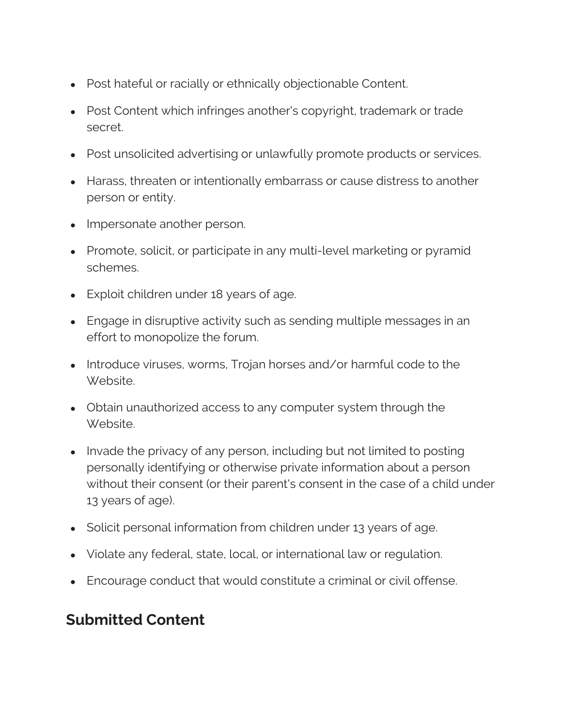- Post hateful or racially or ethnically objectionable Content.
- Post Content which infringes another's copyright, trademark or trade secret.
- Post unsolicited advertising or unlawfully promote products or services.
- Harass, threaten or intentionally embarrass or cause distress to another person or entity.
- Impersonate another person.
- Promote, solicit, or participate in any multi-level marketing or pyramid schemes.
- Exploit children under 18 years of age.
- Engage in disruptive activity such as sending multiple messages in an effort to monopolize the forum.
- Introduce viruses, worms, Trojan horses and/or harmful code to the Website.
- Obtain unauthorized access to any computer system through the Website.
- Invade the privacy of any person, including but not limited to posting personally identifying or otherwise private information about a person without their consent (or their parent's consent in the case of a child under 13 years of age).
- Solicit personal information from children under 13 years of age.
- Violate any federal, state, local, or international law or regulation.
- Encourage conduct that would constitute a criminal or civil offense.

#### **Submitted Content**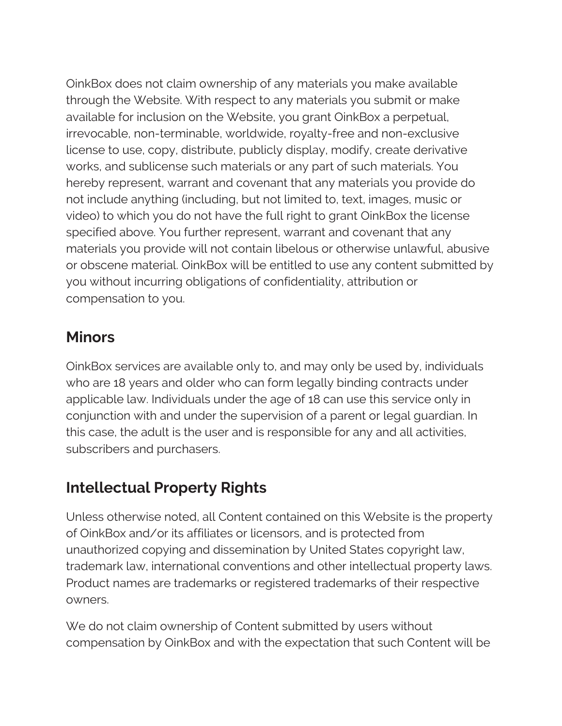OinkBox does not claim ownership of any materials you make available through the Website. With respect to any materials you submit or make available for inclusion on the Website, you grant OinkBox a perpetual, irrevocable, non-terminable, worldwide, royalty-free and non-exclusive license to use, copy, distribute, publicly display, modify, create derivative works, and sublicense such materials or any part of such materials. You hereby represent, warrant and covenant that any materials you provide do not include anything (including, but not limited to, text, images, music or video) to which you do not have the full right to grant OinkBox the license specified above. You further represent, warrant and covenant that any materials you provide will not contain libelous or otherwise unlawful, abusive or obscene material. OinkBox will be entitled to use any content submitted by you without incurring obligations of confidentiality, attribution or compensation to you.

#### **Minors**

OinkBox services are available only to, and may only be used by, individuals who are 18 years and older who can form legally binding contracts under applicable law. Individuals under the age of 18 can use this service only in conjunction with and under the supervision of a parent or legal guardian. In this case, the adult is the user and is responsible for any and all activities, subscribers and purchasers.

# **Intellectual Property Rights**

Unless otherwise noted, all Content contained on this Website is the property of OinkBox and/or its affiliates or licensors, and is protected from unauthorized copying and dissemination by United States copyright law, trademark law, international conventions and other intellectual property laws. Product names are trademarks or registered trademarks of their respective owners.

We do not claim ownership of Content submitted by users without compensation by OinkBox and with the expectation that such Content will be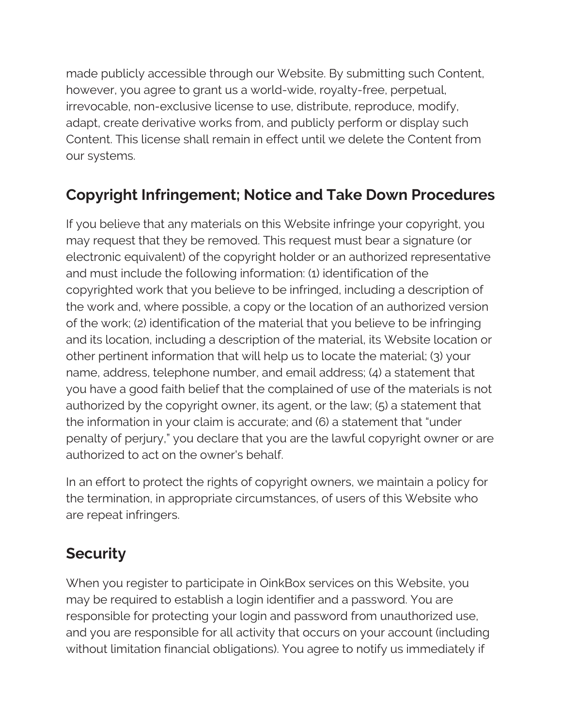made publicly accessible through our Website. By submitting such Content, however, you agree to grant us a world-wide, royalty-free, perpetual, irrevocable, non-exclusive license to use, distribute, reproduce, modify, adapt, create derivative works from, and publicly perform or display such Content. This license shall remain in effect until we delete the Content from our systems.

# **Copyright Infringement; Notice and Take Down Procedures**

If you believe that any materials on this Website infringe your copyright, you may request that they be removed. This request must bear a signature (or electronic equivalent) of the copyright holder or an authorized representative and must include the following information: (1) identification of the copyrighted work that you believe to be infringed, including a description of the work and, where possible, a copy or the location of an authorized version of the work; (2) identification of the material that you believe to be infringing and its location, including a description of the material, its Website location or other pertinent information that will help us to locate the material; (3) your name, address, telephone number, and email address; (4) a statement that you have a good faith belief that the complained of use of the materials is not authorized by the copyright owner, its agent, or the law; (5) a statement that the information in your claim is accurate; and (6) a statement that "under penalty of perjury," you declare that you are the lawful copyright owner or are authorized to act on the owner's behalf.

In an effort to protect the rights of copyright owners, we maintain a policy for the termination, in appropriate circumstances, of users of this Website who are repeat infringers.

#### **Security**

When you register to participate in OinkBox services on this Website, you may be required to establish a login identifier and a password. You are responsible for protecting your login and password from unauthorized use, and you are responsible for all activity that occurs on your account (including without limitation financial obligations). You agree to notify us immediately if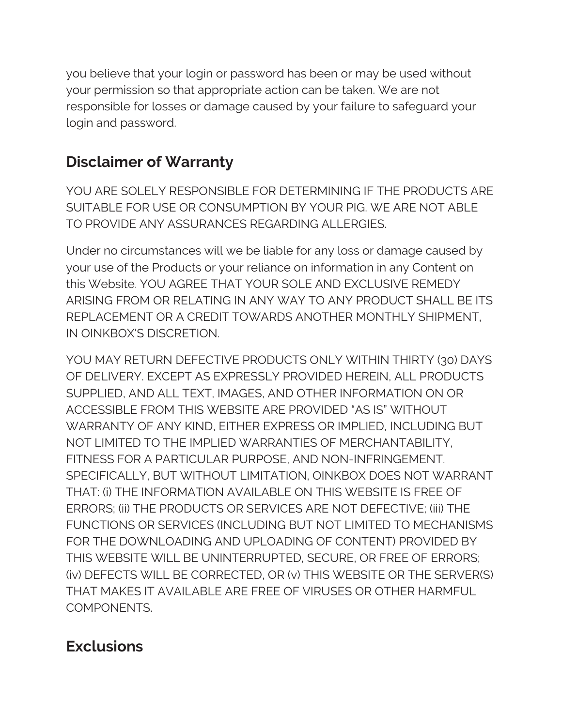you believe that your login or password has been or may be used without your permission so that appropriate action can be taken. We are not responsible for losses or damage caused by your failure to safeguard your login and password.

# **Disclaimer of Warranty**

YOU ARE SOLELY RESPONSIBLE FOR DETERMINING IF THE PRODUCTS ARE SUITABLE FOR USE OR CONSUMPTION BY YOUR PIG. WE ARE NOT ABLE TO PROVIDE ANY ASSURANCES REGARDING ALLERGIES.

Under no circumstances will we be liable for any loss or damage caused by your use of the Products or your reliance on information in any Content on this Website. YOU AGREE THAT YOUR SOLE AND EXCLUSIVE REMEDY ARISING FROM OR RELATING IN ANY WAY TO ANY PRODUCT SHALL BE ITS REPLACEMENT OR A CREDIT TOWARDS ANOTHER MONTHLY SHIPMENT, IN OINKBOX'S DISCRETION.

YOU MAY RETURN DEFECTIVE PRODUCTS ONLY WITHIN THIRTY (30) DAYS OF DELIVERY. EXCEPT AS EXPRESSLY PROVIDED HEREIN, ALL PRODUCTS SUPPLIED, AND ALL TEXT, IMAGES, AND OTHER INFORMATION ON OR ACCESSIBLE FROM THIS WEBSITE ARE PROVIDED "AS IS" WITHOUT WARRANTY OF ANY KIND, EITHER EXPRESS OR IMPLIED, INCLUDING BUT NOT LIMITED TO THE IMPLIED WARRANTIES OF MERCHANTABILITY, FITNESS FOR A PARTICULAR PURPOSE, AND NON-INFRINGEMENT. SPECIFICALLY, BUT WITHOUT LIMITATION, OINKBOX DOES NOT WARRANT THAT: (i) THE INFORMATION AVAILABLE ON THIS WEBSITE IS FREE OF ERRORS; (ii) THE PRODUCTS OR SERVICES ARE NOT DEFECTIVE; (iii) THE FUNCTIONS OR SERVICES (INCLUDING BUT NOT LIMITED TO MECHANISMS FOR THE DOWNLOADING AND UPLOADING OF CONTENT) PROVIDED BY THIS WEBSITE WILL BE UNINTERRUPTED, SECURE, OR FREE OF ERRORS; (iv) DEFECTS WILL BE CORRECTED, OR (v) THIS WEBSITE OR THE SERVER(S) THAT MAKES IT AVAILABLE ARE FREE OF VIRUSES OR OTHER HARMFUL COMPONENTS.

#### **Exclusions**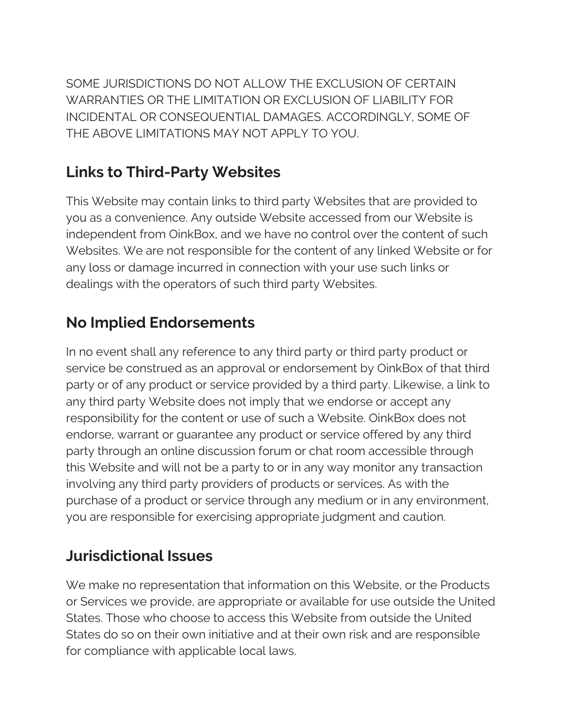SOME JURISDICTIONS DO NOT ALLOW THE EXCLUSION OF CERTAIN WARRANTIES OR THE LIMITATION OR EXCLUSION OF LIABILITY FOR INCIDENTAL OR CONSEQUENTIAL DAMAGES. ACCORDINGLY, SOME OF THE ABOVE LIMITATIONS MAY NOT APPLY TO YOU.

# **Links to Third-Party Websites**

This Website may contain links to third party Websites that are provided to you as a convenience. Any outside Website accessed from our Website is independent from OinkBox, and we have no control over the content of such Websites. We are not responsible for the content of any linked Website or for any loss or damage incurred in connection with your use such links or dealings with the operators of such third party Websites.

# **No Implied Endorsements**

In no event shall any reference to any third party or third party product or service be construed as an approval or endorsement by OinkBox of that third party or of any product or service provided by a third party. Likewise, a link to any third party Website does not imply that we endorse or accept any responsibility for the content or use of such a Website. OinkBox does not endorse, warrant or guarantee any product or service offered by any third party through an online discussion forum or chat room accessible through this Website and will not be a party to or in any way monitor any transaction involving any third party providers of products or services. As with the purchase of a product or service through any medium or in any environment, you are responsible for exercising appropriate judgment and caution.

# **Jurisdictional Issues**

We make no representation that information on this Website, or the Products or Services we provide, are appropriate or available for use outside the United States. Those who choose to access this Website from outside the United States do so on their own initiative and at their own risk and are responsible for compliance with applicable local laws.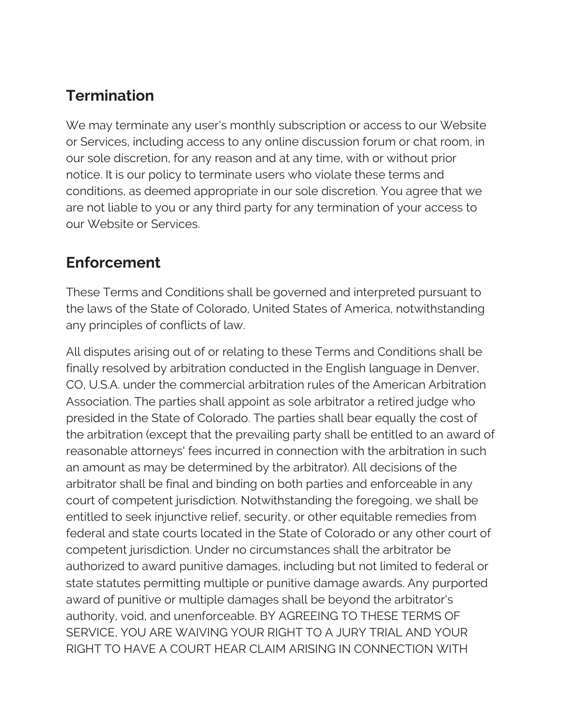# **Termination**

We may terminate any user's monthly subscription or access to our Website or Services, including access to any online discussion forum or chat room, in our sole discretion, for any reason and at any time, with or without prior notice. It is our policy to terminate users who violate these terms and conditions, as deemed appropriate in our sole discretion. You agree that we are not liable to you or any third party for any termination of your access to our Website or Services.

#### **Enforcement**

These Terms and Conditions shall be governed and interpreted pursuant to the laws of the State of Colorado, United States of America, notwithstanding any principles of conflicts of law.

All disputes arising out of or relating to these Terms and Conditions shall be finally resolved by arbitration conducted in the English language in Denver, CO, U.S.A. under the commercial arbitration rules of the American Arbitration Association. The parties shall appoint as sole arbitrator a retired judge who presided in the State of Colorado. The parties shall bear equally the cost of the arbitration (except that the prevailing party shall be entitled to an award of reasonable attorneys' fees incurred in connection with the arbitration in such an amount as may be determined by the arbitrator). All decisions of the arbitrator shall be final and binding on both parties and enforceable in any court of competent jurisdiction. Notwithstanding the foregoing, we shall be entitled to seek injunctive relief, security, or other equitable remedies from federal and state courts located in the State of Colorado or any other court of competent jurisdiction. Under no circumstances shall the arbitrator be authorized to award punitive damages, including but not limited to federal or state statutes permitting multiple or punitive damage awards. Any purported award of punitive or multiple damages shall be beyond the arbitrator's authority, void, and unenforceable. BY AGREEING TO THESE TERMS OF SERVICE, YOU ARE WAIVING YOUR RIGHT TO A JURY TRIAL AND YOUR RIGHT TO HAVE A COURT HEAR CLAIM ARISING IN CONNECTION WITH